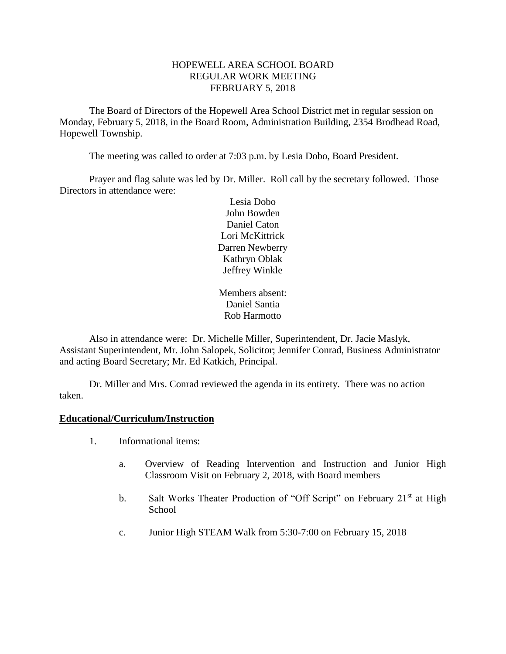### HOPEWELL AREA SCHOOL BOARD REGULAR WORK MEETING FEBRUARY 5, 2018

The Board of Directors of the Hopewell Area School District met in regular session on Monday, February 5, 2018, in the Board Room, Administration Building, 2354 Brodhead Road, Hopewell Township.

The meeting was called to order at 7:03 p.m. by Lesia Dobo, Board President.

Prayer and flag salute was led by Dr. Miller. Roll call by the secretary followed. Those Directors in attendance were:

> Lesia Dobo John Bowden Daniel Caton Lori McKittrick Darren Newberry Kathryn Oblak Jeffrey Winkle

Members absent: Daniel Santia Rob Harmotto

Also in attendance were: Dr. Michelle Miller, Superintendent, Dr. Jacie Maslyk, Assistant Superintendent, Mr. John Salopek, Solicitor; Jennifer Conrad, Business Administrator and acting Board Secretary; Mr. Ed Katkich, Principal.

Dr. Miller and Mrs. Conrad reviewed the agenda in its entirety. There was no action taken.

#### **Educational/Curriculum/Instruction**

- 1. Informational items:
	- a. Overview of Reading Intervention and Instruction and Junior High Classroom Visit on February 2, 2018, with Board members
	- b. Salt Works Theater Production of "Off Script" on February 21<sup>st</sup> at High School
	- c. Junior High STEAM Walk from 5:30-7:00 on February 15, 2018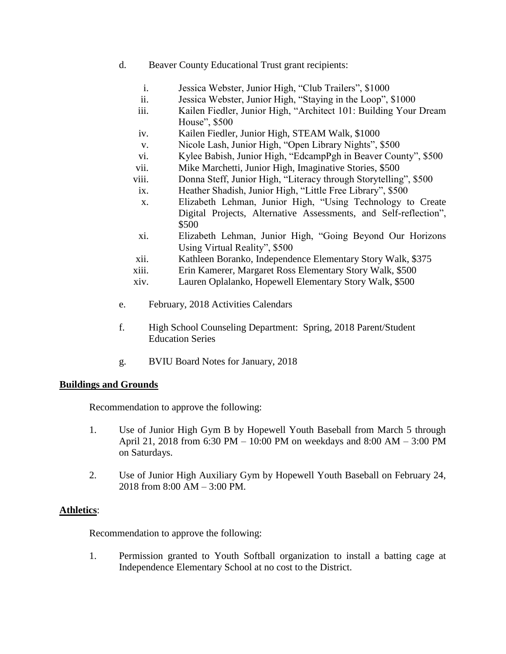- d. Beaver County Educational Trust grant recipients:
	- i. Jessica Webster, Junior High, "Club Trailers", \$1000
	- ii. Jessica Webster, Junior High, "Staying in the Loop", \$1000
	- iii. Kailen Fiedler, Junior High, "Architect 101: Building Your Dream House", \$500
	- iv. Kailen Fiedler, Junior High, STEAM Walk, \$1000
	- v. Nicole Lash, Junior High, "Open Library Nights", \$500
	- vi. Kylee Babish, Junior High, "EdcampPgh in Beaver County", \$500
	- vii. Mike Marchetti, Junior High, Imaginative Stories, \$500
	- viii. Donna Steff, Junior High, "Literacy through Storytelling", \$500
	- ix. Heather Shadish, Junior High, "Little Free Library", \$500
	- x. Elizabeth Lehman, Junior High, "Using Technology to Create Digital Projects, Alternative Assessments, and Self-reflection", \$500
	- xi. Elizabeth Lehman, Junior High, "Going Beyond Our Horizons Using Virtual Reality", \$500
	- xii. Kathleen Boranko, Independence Elementary Story Walk, \$375
	- xiii. Erin Kamerer, Margaret Ross Elementary Story Walk, \$500
	- xiv. Lauren Oplalanko, Hopewell Elementary Story Walk, \$500
- e. February, 2018 Activities Calendars
- f. High School Counseling Department: Spring, 2018 Parent/Student Education Series
- g. BVIU Board Notes for January, 2018

# **Buildings and Grounds**

Recommendation to approve the following:

- 1. Use of Junior High Gym B by Hopewell Youth Baseball from March 5 through April 21, 2018 from 6:30 PM – 10:00 PM on weekdays and 8:00 AM – 3:00 PM on Saturdays.
- 2. Use of Junior High Auxiliary Gym by Hopewell Youth Baseball on February 24, 2018 from 8:00 AM – 3:00 PM.

# **Athletics**:

Recommendation to approve the following:

1. Permission granted to Youth Softball organization to install a batting cage at Independence Elementary School at no cost to the District.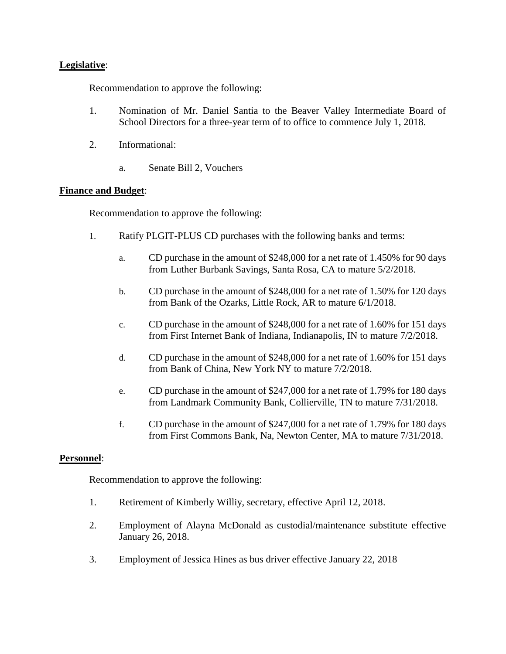# **Legislative**:

Recommendation to approve the following:

- 1. Nomination of Mr. Daniel Santia to the Beaver Valley Intermediate Board of School Directors for a three-year term of to office to commence July 1, 2018.
- 2. Informational:
	- a. Senate Bill 2, Vouchers

# **Finance and Budget**:

Recommendation to approve the following:

- 1. Ratify PLGIT-PLUS CD purchases with the following banks and terms:
	- a. CD purchase in the amount of \$248,000 for a net rate of 1.450% for 90 days from Luther Burbank Savings, Santa Rosa, CA to mature 5/2/2018.
	- b. CD purchase in the amount of \$248,000 for a net rate of 1.50% for 120 days from Bank of the Ozarks, Little Rock, AR to mature 6/1/2018.
	- c. CD purchase in the amount of \$248,000 for a net rate of 1.60% for 151 days from First Internet Bank of Indiana, Indianapolis, IN to mature 7/2/2018.
	- d. CD purchase in the amount of \$248,000 for a net rate of 1.60% for 151 days from Bank of China, New York NY to mature 7/2/2018.
	- e. CD purchase in the amount of \$247,000 for a net rate of 1.79% for 180 days from Landmark Community Bank, Collierville, TN to mature 7/31/2018.
	- f. CD purchase in the amount of \$247,000 for a net rate of 1.79% for 180 days from First Commons Bank, Na, Newton Center, MA to mature 7/31/2018.

# **Personnel**:

Recommendation to approve the following:

- 1. Retirement of Kimberly Williy, secretary, effective April 12, 2018.
- 2. Employment of Alayna McDonald as custodial/maintenance substitute effective January 26, 2018.
- 3. Employment of Jessica Hines as bus driver effective January 22, 2018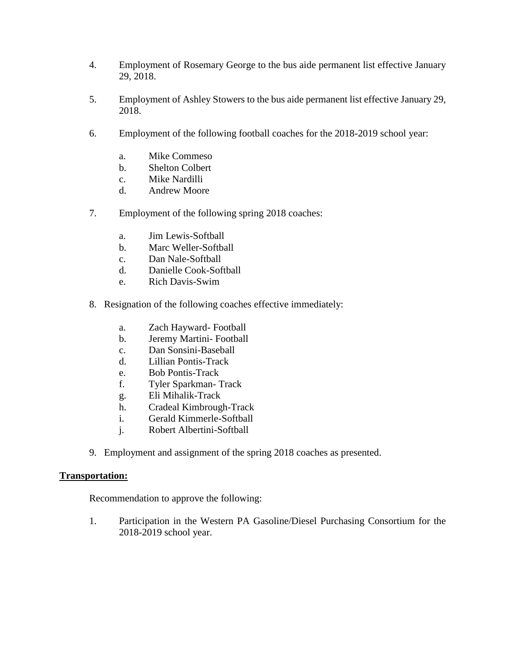- 4. Employment of Rosemary George to the bus aide permanent list effective January 29, 2018.
- 5. Employment of Ashley Stowers to the bus aide permanent list effective January 29, 2018.
- 6. Employment of the following football coaches for the 2018-2019 school year:
	- a. Mike Commeso
	- b. Shelton Colbert
	- c. Mike Nardilli
	- d. Andrew Moore
- 7. Employment of the following spring 2018 coaches:
	- a. Jim Lewis-Softball
	- b. Marc Weller-Softball
	- c. Dan Nale-Softball
	- d. Danielle Cook-Softball
	- e. Rich Davis-Swim
- 8. Resignation of the following coaches effective immediately:
	- a. Zach Hayward- Football
	- b. Jeremy Martini- Football
	- c. Dan Sonsini-Baseball
	- d. Lillian Pontis-Track
	- e. Bob Pontis-Track
	- f. Tyler Sparkman- Track
	- g. Eli Mihalik-Track
	- h. Cradeal Kimbrough-Track
	- i. Gerald Kimmerle-Softball
	- j. Robert Albertini-Softball
- 9. Employment and assignment of the spring 2018 coaches as presented.

#### **Transportation:**

Recommendation to approve the following:

1. Participation in the Western PA Gasoline/Diesel Purchasing Consortium for the 2018-2019 school year.